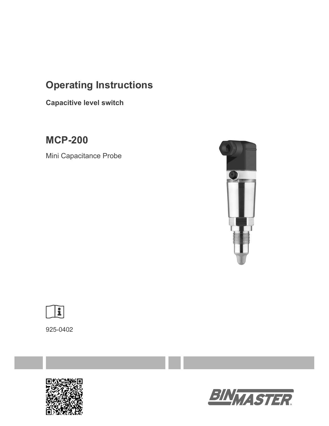# **Operating Instructions**

**Capacitive level switch**

**MCP-200** 

Mini Capacitance Probe





925-0402



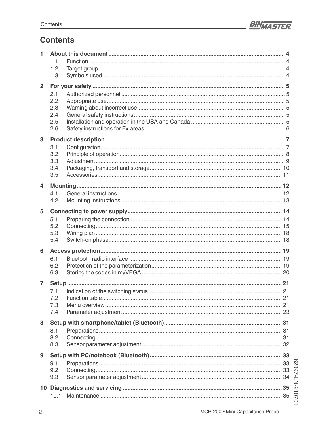

# **Contents**

| 1              |            |  |
|----------------|------------|--|
|                | 1.1        |  |
|                | 1.2        |  |
|                | 1.3        |  |
| $\overline{2}$ |            |  |
|                | 2.1        |  |
|                | 2.2        |  |
|                | 2.3        |  |
|                | 2.4        |  |
|                | 2.5        |  |
|                | 2.6        |  |
| $\overline{3}$ |            |  |
|                |            |  |
|                | 3.1        |  |
|                | 3.2        |  |
|                | 3.3<br>3.4 |  |
|                | 3.5        |  |
|                |            |  |
| 4              |            |  |
|                | 4.1        |  |
|                | 4.2        |  |
| 5              |            |  |
|                | 5.1        |  |
|                | 5.2        |  |
|                | 5.3        |  |
|                | 5.4        |  |
|                |            |  |
| 6              |            |  |
|                | 6.1        |  |
|                | 6.2        |  |
|                | 6.3        |  |
| $\overline{7}$ |            |  |
|                |            |  |
|                | 7.2        |  |
|                | 7.3        |  |
|                | 7.4        |  |
|                |            |  |
| 8              |            |  |
|                | 8.1        |  |
|                | 8.2        |  |
|                | 8.3        |  |
| 9              |            |  |
|                | 9.1        |  |
|                | 9.2        |  |
|                | 9.3        |  |
|                |            |  |
|                |            |  |
|                |            |  |
|                |            |  |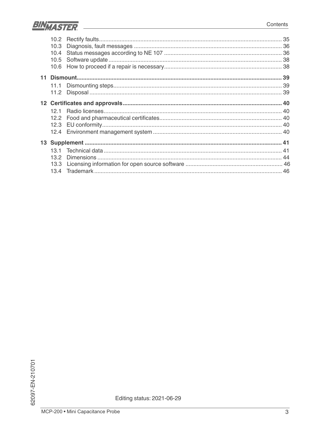

| 10.2 |  |
|------|--|
| 10.3 |  |
| 10.4 |  |
| 10.5 |  |
| 10.6 |  |
|      |  |
|      |  |
| 11.2 |  |
|      |  |
| 121  |  |
| 12.2 |  |
|      |  |
|      |  |
|      |  |
| 13.1 |  |
| 13.2 |  |
| 13.3 |  |
| 13.4 |  |

Editing status: 2021-06-29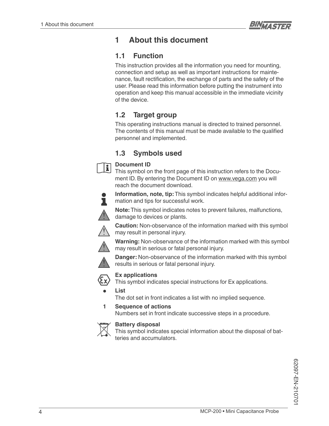

# **1 About this document**

# **1.1 Function**

This instruction provides all the information you need for mounting, connection and setup as well as important instructions for maintenance, fault rectification, the exchange of parts and the safety of the user. Please read this information before putting the instrument into operation and keep this manual accessible in the immediate vicinity of the device.

# **1.2 Target group**

This operating instructions manual is directed to trained personnel. The contents of this manual must be made available to the qualified personnel and implemented.

# **1.3 Symbols used**



#### **Document ID**

This symbol on the front page of this instruction refers to the Document ID. By entering the Document ID on www.vega.com you will reach the document download.



**Information, note, tip:** This symbol indicates helpful additional information and tips for successful work.

**Note:** This symbol indicates notes to prevent failures, malfunctions, damage to devices or plants.



**Caution:** Non-observance of the information marked with this symbol may result in personal injury.

**Warning:** Non-observance of the information marked with this symbol may result in serious or fatal personal injury.



**Danger:** Non-observance of the information marked with this symbol results in serious or fatal personal injury.



**Ex applications**

This symbol indicates special instructions for Ex applications.

**• List**

The dot set in front indicates a list with no implied sequence.

**1 Sequence of actions**

Numbers set in front indicate successive steps in a procedure.



#### **Battery disposal**

This symbol indicates special information about the disposal of batteries and accumulators.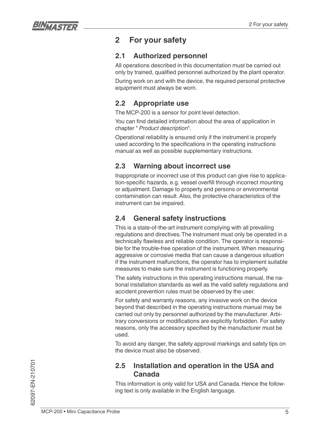

# **2 For your safety**

# **2.1 Authorized personnel**

All operations described in this documentation must be carried out only by trained, qualified personnel authorized by the plant operator.

During work on and with the device, the required personal protective equipment must always be worn.

# **2.2 Appropriate use**

The MCP-200 is a sensor for point level detection.

You can find detailed information about the area of application in chapter " *Product description*".

Operational reliability is ensured only if the instrument is properly used according to the specifications in the operating instructions manual as well as possible supplementary instructions.

# **2.3 Warning about incorrect use**

Inappropriate or incorrect use of this product can give rise to application-specific hazards, e.g. vessel overfill through incorrect mounting or adjustment. Damage to property and persons or environmental contamination can result. Also, the protective characteristics of the instrument can be impaired.

# **2.4 General safety instructions**

This is a state-of-the-art instrument complying with all prevailing regulations and directives. The instrument must only be operated in a technically flawless and reliable condition. The operator is responsible for the trouble-free operation of the instrument. When measuring aggressive or corrosive media that can cause a dangerous situation if the instrument malfunctions, the operator has to implement suitable measures to make sure the instrument is functioning properly.

The safety instructions in this operating instructions manual, the national installation standards as well as the valid safety regulations and accident prevention rules must be observed by the user.

For safety and warranty reasons, any invasive work on the device beyond that described in the operating instructions manual may be carried out only by personnel authorized by the manufacturer. Arbitrary conversions or modifications are explicitly forbidden. For safety reasons, only the accessory specified by the manufacturer must be used.

To avoid any danger, the safety approval markings and safety tips on the device must also be observed.

### **2.5 Installation and operation in the USA and Canada**

This information is only valid for USA and Canada. Hence the following text is only available in the English language.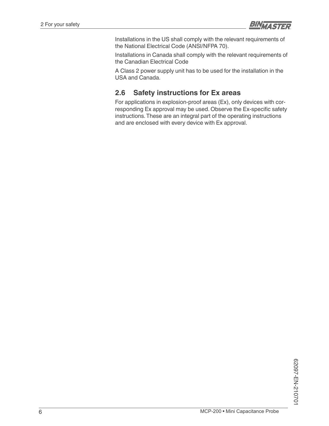

Installations in the US shall comply with the relevant requirements of the National Electrical Code (ANSI/NFPA 70).

Installations in Canada shall comply with the relevant requirements of the Canadian Electrical Code

A Class 2 power supply unit has to be used for the installation in the USA and Canada.

# **2.6 Safety instructions for Ex areas**

For applications in explosion-proof areas (Ex), only devices with corresponding Ex approval may be used. Observe the Ex-specific safety instructions. These are an integral part of the operating instructions and are enclosed with every device with Ex approval.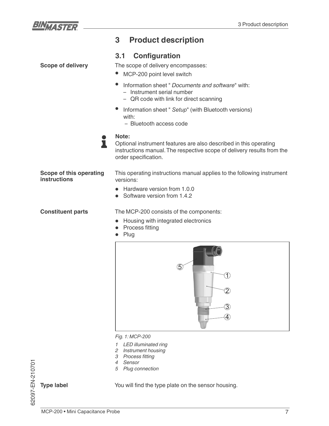

**Scope of delivery**

# **3 Product description**

### **3.1 Configuration**

The scope of delivery encompasses:

- MCP-200 point level switch
- Information sheet " *Documents and software*" with:
	- Instrument serial number
	- QR code with link for direct scanning
- Information sheet " Setup" (with Bluetooth versions) with:
	- Bluetooth access code
- **Note:** ı

Optional instrument features are also described in this operating instructions manual. The respective scope of delivery results from the order specification.

**Scope of this operating instructions**

This operating instructions manual applies to the following instrument versions:

- Hardware version from 1.0.0
- Software version from 1.4.2

**Constituent parts**

The MCP-200 consists of the components:

- Housing with integrated electronics
- Process fitting
- Plug



*Fig. 1: MCP-200* 

- *1 LED illuminated ring*
- *2 Instrument housing*
- 3 Process fitting
- *4 Sensor*
- *5 Plug connection*

**Type label**

62097-EN-210701

62097-EN-210701

You will find the type plate on the sensor housing.

MCP-200 • Mini Capacitance Probe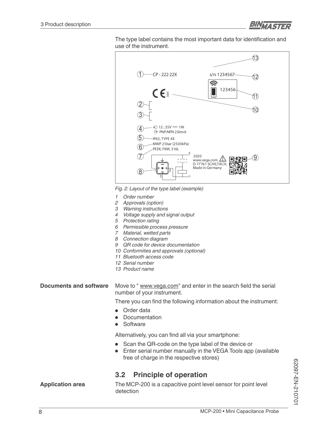

The type label contains the most important data for identification and use of the instrument.



*Fig. 2: Layout of the type label (example)*

- *1 Order number*
- *2 Approvals (option)*
- *3 Warning instructions*
- *4 Voltage supply and signal output*
- *5 Protection rating*
- *6 Permissible process pressure*
- *7 Material, wetted parts*
- *8 Connection diagram*
- *9 QR code for device documentation*
- *10 Conformities and approvals (optional)*
- *11 Bluetooth access code*
- *12 Serial number*
- *13 Product name*

Move to " www.vega.com" and enter in the search field the serial number of your instrument. **Documents and software**

There you can find the following information about the instrument:

- Order data
- Documentation
- Software

Alternatively, you can find all via your smartphone:

- Scan the QR-code on the type label of the device or
- Enter serial number manually in the VEGA Tools app (available free of charge in the respective stores)

### **3.2 Principle of operation**

**Application area**

The MCP-200 is a capacitive point level sensor for point level detection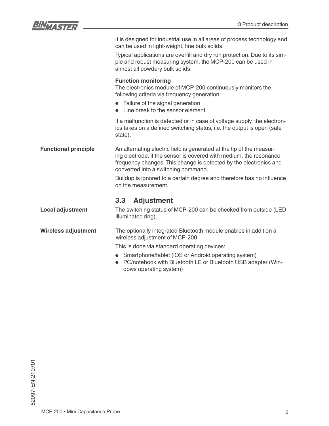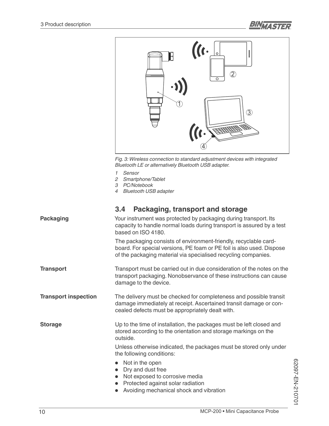



*Fig. 3: Wireless connection to standard adjustment devices with integrated Bluetooth LE or alternatively Bluetooth USB adapter.*

- *1 Sensor*
- *2 Smartphone/Tablet*
- *3 PC/Notebook*
- *4 Bluetooth USB adapter*

| <b>Packaging</b>            | Your instrument was protected by packaging during transport. Its<br>capacity to handle normal loads during transport is assured by a test<br>based on ISO 4180.                                             |  |
|-----------------------------|-------------------------------------------------------------------------------------------------------------------------------------------------------------------------------------------------------------|--|
|                             | The packaging consists of environment-friendly, recyclable card-<br>board. For special versions, PE foam or PE foil is also used. Dispose<br>of the packaging material via specialised recycling companies. |  |
| <b>Transport</b>            | Transport must be carried out in due consideration of the notes on the<br>transport packaging. Nonobservance of these instructions can cause<br>damage to the device.                                       |  |
| <b>Transport inspection</b> | The delivery must be checked for completeness and possible transit<br>damage immediately at receipt. Ascertained transit damage or con-<br>cealed defects must be appropriately dealt with.                 |  |
| <b>Storage</b>              | Up to the time of installation, the packages must be left closed and<br>stored according to the orientation and storage markings on the<br>outside.                                                         |  |
|                             | Unless otherwise indicated, the packages must be stored only under<br>the following conditions:                                                                                                             |  |
|                             | • Not in the open<br>Dry and dust free<br>• Not exposed to corrosive media<br>• Protected against solar radiation<br>Avoiding mechanical shock and vibration                                                |  |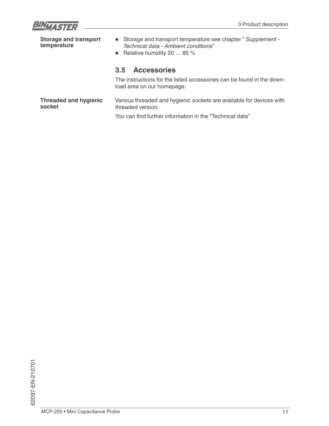![](_page_10_Picture_0.jpeg)

| <b>Storage and transport</b><br>temperature | • Storage and transport temperature see chapter " Supplement -<br>Technical data - Ambient conditions"<br>• Relative humidity 20 $\dots$ 85 % |  |
|---------------------------------------------|-----------------------------------------------------------------------------------------------------------------------------------------------|--|
|                                             | <b>Accessories</b><br>3.5                                                                                                                     |  |
|                                             | The instructions for the listed accessories can be found in the down-<br>load area on our homepage.                                           |  |
| <b>Threaded and hygienic</b><br>socket      | Various threaded and hygienic sockets are available for devices with<br>threaded version.                                                     |  |
|                                             | You can find further information in the "Technical data"                                                                                      |  |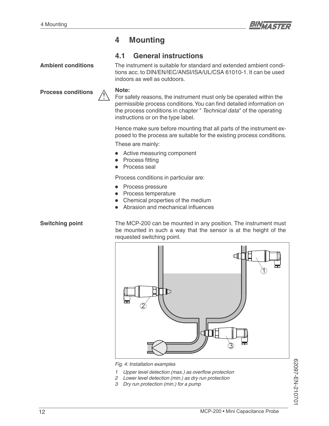![](_page_11_Picture_1.jpeg)

# **4 Mounting**

### **4.1 General instructions**

**Ambient conditions**

The instrument is suitable for standard and extended ambient conditions acc. to DIN/EN/IEC/ANSI/ISA/UL/CSA 61010-1. It can be used indoors as well as outdoors.

**Process conditions**

![](_page_11_Picture_7.jpeg)

**Note:**

For safety reasons, the instrument must only be operated within the permissible process conditions. You can find detailed information on the process conditions in chapter " *Technical data*" of the operating instructions or on the type label.

Hence make sure before mounting that all parts of the instrument exposed to the process are suitable for the existing process conditions.

These are mainly:

- Active measuring component
- Process fitting
- Process seal

Process conditions in particular are:

- Process pressure
- Process temperature
- Chemical properties of the medium
- Abrasion and mechanical influences

#### **Switching point**

The MCP-200 can be mounted in any position. The instrument must be mounted in such a way that the sensor is at the height of the requested switching point.

![](_page_11_Figure_22.jpeg)

*Fig. 4: Installation examples*

- *<sup>1</sup> Upper level detection (max.) as overflow protection*
- *2 Lower level detection (min.) as dry run protection*
- *3 Dry run protection (min.) for a pump*

62097-EN-210701 62097-EN-210701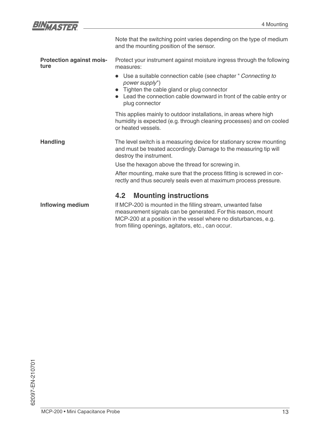| $\overline{\phantom{a}}$ |  |
|--------------------------|--|
|                          |  |

|                                         | Note that the switching point varies depending on the type of medium<br>and the mounting position of the sensor.                                                                                                                                     |  |  |
|-----------------------------------------|------------------------------------------------------------------------------------------------------------------------------------------------------------------------------------------------------------------------------------------------------|--|--|
| <b>Protection against mois-</b><br>ture | Protect your instrument against moisture ingress through the following<br>measures:                                                                                                                                                                  |  |  |
|                                         | Use a suitable connection cable (see chapter " Connecting to<br>power supply")                                                                                                                                                                       |  |  |
|                                         | • Tighten the cable gland or plug connector<br>Lead the connection cable downward in front of the cable entry or<br>plug connector                                                                                                                   |  |  |
|                                         | This applies mainly to outdoor installations, in areas where high<br>humidity is expected (e.g. through cleaning processes) and on cooled<br>or heated vessels.                                                                                      |  |  |
| <b>Handling</b>                         | The level switch is a measuring device for stationary screw mounting<br>and must be treated accordingly. Damage to the measuring tip will<br>destroy the instrument.                                                                                 |  |  |
|                                         | Use the hexagon above the thread for screwing in.                                                                                                                                                                                                    |  |  |
|                                         | After mounting, make sure that the process fitting is screwed in cor-<br>rectly and thus securely seals even at maximum process pressure.                                                                                                            |  |  |
|                                         | <b>Mounting instructions</b><br>4.2                                                                                                                                                                                                                  |  |  |
| <b>Inflowing medium</b>                 | If MCP-200 is mounted in the filling stream, unwanted false<br>measurement signals can be generated. For this reason, mount<br>MCP-200 at a position in the vessel where no disturbances, e.g.<br>from filling openings, agitators, etc., can occur. |  |  |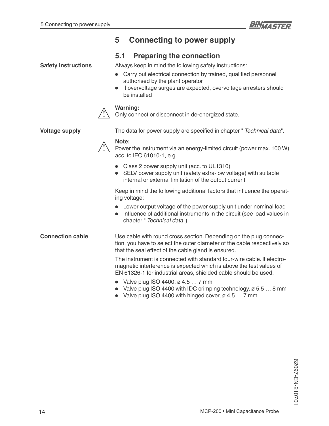![](_page_13_Picture_1.jpeg)

# **5 Connecting to power supply**

### **5.1 Preparing the connection**

**Safety instructions**

Always keep in mind the following safety instructions:

- Carry out electrical connection by trained, qualified personnel authorised by the plant operator
- If overvoltage surges are expected, overvoltage arresters should be installed

#### **Warning:**

Only connect or disconnect in de-energized state.

**Voltage supply**

The data for power supply are specified in chapter " Technical data".

### **Note:**

Power the instrument via an energy-limited circuit (power max. 100 W) acc. to IEC 61010-1, e.g.

- Class 2 power supply unit (acc. to UL1310)
- SELV power supply unit (safety extra-low voltage) with suitable internal or external limitation of the output current

Keep in mind the following additional factors that influence the operating voltage:

- Lower output voltage of the power supply unit under nominal load
- Influence of additional instruments in the circuit (see load values in chapter " *Technical data*")

**Connection cable**

Use cable with round cross section. Depending on the plug connection, you have to select the outer diameter of the cable respectively so that the seal effect of the cable gland is ensured.

The instrument is connected with standard four-wire cable. If electromagnetic interference is expected which is above the test values of EN 61326-1 for industrial areas, shielded cable should be used.

- Valve plug ISO 4400,  $\varnothing$  4.5  $\ldots$  7 mm
- Valve plug ISO 4400 with IDC crimping technology,  $\varnothing$  5.5  $\dots$  8 mm
- Valve plug ISO 4400 with hinged cover,  $\varnothing$  4,5  $\dots$  7 mm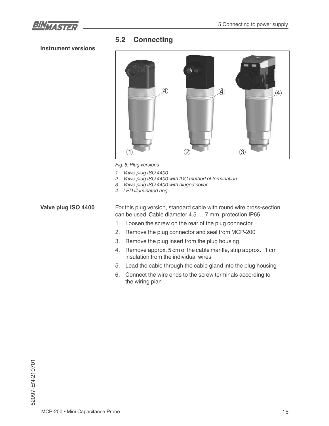![](_page_14_Picture_1.jpeg)

# **5.2 Connecting**

#### **Instrument versions**

![](_page_14_Picture_4.jpeg)

*Fig. 5: Plug versions*

- *1 Valve plug ISO 4400*
- *2 Valve plug ISO 4400 with IDC method of termination*
- *3 Valve plug ISO 4400 with hinged cover*
- *4 LED illuminated ring*

For this plug version, standard cable with round wire cross-section can be used. Cable diameter 4.5 … 7 mm, protection IP65. **Valve plug ISO 4400**

- 1. Loosen the screw on the rear of the plug connector
- 2. Remove the plug connector and seal from MCP-200
- 3. Remove the plug insert from the plug housing
- 4. Remove approx. 5 cm of the cable mantle, strip approx. 1 cm insulation from the individual wires
- Lead the cable through the cable gland into the plug housing
- Connect the wire ends to the screw terminals according to the wiring plan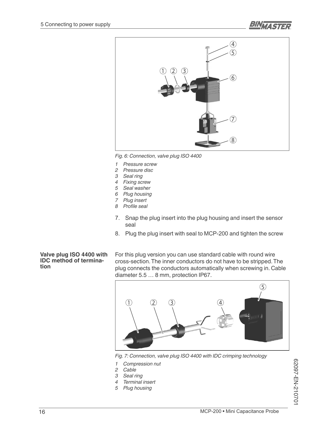![](_page_15_Picture_1.jpeg)

![](_page_15_Picture_2.jpeg)

*Fig. 6: Connection, valve plug ISO 4400*

- *1 Pressure screw*
- *2 Pressure disc*
- *3 Seal ring*
- *4 Fixing screw*
- *5 Seal washer*
- *6 Plug housing*
- *7 Plug insert* 8 Profile seal
- Snap the plug insert into the plug housing and insert the sensor seal
- 8. Plug the plug insert with seal to MCP-200 and tighten the screw

#### **Valve plug ISO 4400 with IDC method of termination**

For this plug version you can use standard cable with round wire cross-section. The inner conductors do not have to be stripped. The plug connects the conductors automatically when screwing in. Cable diameter 5.5 … 8 mm, protection IP67.

![](_page_15_Figure_15.jpeg)

*Fig. 7: Connection, valve plug ISO 4400 with IDC crimping technology*

- *1 Compression nut*
- *2 Cable*
- *3 Seal ring*
- *4 Terminal insert*
- *5 Plug housing*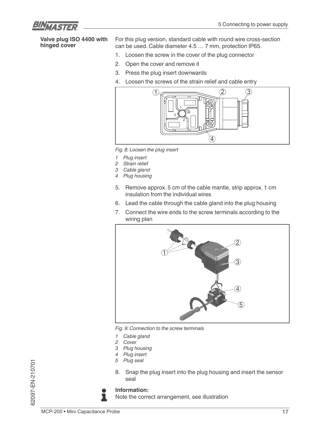![](_page_16_Picture_1.jpeg)

#### **Valve plug ISO 4400 with hinged cover**

For this plug version, standard cable with round wire cross-section can be used. Cable diameter 4.5 … 7 mm, protection IP65.

- 1. Loosen the screw in the cover of the plug connector
- 2. Open the cover and remove it
- 3. Press the plug insert downwards
- 4. Loosen the screws of the strain relief and cable entry

![](_page_16_Figure_8.jpeg)

*Fig. 8: Loosen the plug insert*

- *1 Plug insert*
- *2 Strain relief*
- *3 Cable gland*
- *4 Plug housing*
- 5. Remove approx. 5 cm of the cable mantle, strip approx. 1 cm insulation from the individual wires
- 6. Lead the cable through the cable gland into the plug housing
- 7. Connect the wire ends to the screw terminals according to the wiring plan

![](_page_16_Picture_17.jpeg)

*Fig. 9: Connection to the screw terminals*

- *1 Cable gland*
- *2 Cover*
- *3 Plug housing*
- *4 Plug insert*
- *5 Plug seal*
- 8. Snap the plug insert into the plug housing and insert the sensor seal

![](_page_16_Picture_25.jpeg)

#### **Information:**

Note the correct arrangement, see illustration

62097-EN-210701

62097-EN-210701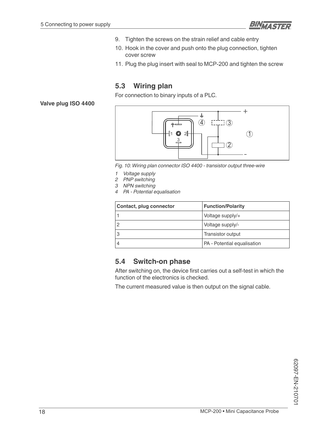![](_page_17_Picture_1.jpeg)

- 9. Tighten the screws on the strain relief and cable entry
- 10. Hook in the cover and push onto the plug connection, tighten cover screw
- 11. Plug the plug insert with seal to MCP-200 and tighten the screw

# **5.3 Wiring plan**

For connection to binary inputs of a PLC.

**Valve plug ISO 4400**

![](_page_17_Figure_8.jpeg)

*Fig. 10: Wiring plan connector ISO 4400 - transistor output three-wire*

- *1 Voltage supply*
- *2 PNP switching*
- *3 NPN switching*
- *4 PA Potential equalisation*

| Contact, plug connector | <b>Function/Polarity</b>    |  |
|-------------------------|-----------------------------|--|
|                         | Voltage supply/+            |  |
|                         | Voltage supply/-            |  |
|                         | Transistor output           |  |
|                         | PA - Potential equalisation |  |

### **5.4 Switch-on phase**

After switching on, the device first carries out a self-test in which the function of the electronics is checked.

The current measured value is then output on the signal cable.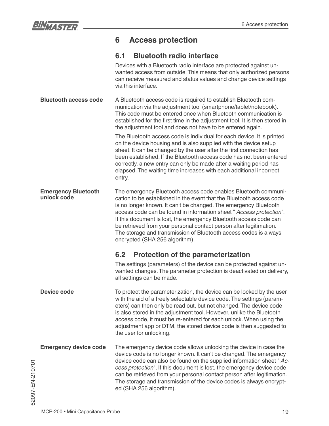![](_page_18_Picture_0.jpeg)

# **6 Access protection**

# **6.1 Bluetooth radio interface**

|                                           | Devices with a Bluetooth radio interface are protected against un-<br>wanted access from outside. This means that only authorized persons<br>can receive measured and status values and change device settings<br>via this interface.                                                                                                                                                                                                                                                                                              |  |  |
|-------------------------------------------|------------------------------------------------------------------------------------------------------------------------------------------------------------------------------------------------------------------------------------------------------------------------------------------------------------------------------------------------------------------------------------------------------------------------------------------------------------------------------------------------------------------------------------|--|--|
| <b>Bluetooth access code</b>              | A Bluetooth access code is required to establish Bluetooth com-<br>munication via the adjustment tool (smartphone/tablet/notebook).<br>This code must be entered once when Bluetooth communication is<br>established for the first time in the adjustment tool. It is then stored in<br>the adjustment tool and does not have to be entered again.                                                                                                                                                                                 |  |  |
|                                           | The Bluetooth access code is individual for each device. It is printed<br>on the device housing and is also supplied with the device setup<br>sheet. It can be changed by the user after the first connection has<br>been established. If the Bluetooth access code has not been entered<br>correctly, a new entry can only be made after a waiting period has<br>elapsed. The waiting time increases with each additional incorrect<br>entry.                                                                                     |  |  |
| <b>Emergency Bluetooth</b><br>unlock code | The emergency Bluetooth access code enables Bluetooth communi-<br>cation to be established in the event that the Bluetooth access code<br>is no longer known. It can't be changed. The emergency Bluetooth<br>access code can be found in information sheet " Access protection".<br>If this document is lost, the emergency Bluetooth access code can<br>be retrieved from your personal contact person after legitimation.<br>The storage and transmission of Bluetooth access codes is always<br>encrypted (SHA 256 algorithm). |  |  |
|                                           | 6.2<br><b>Protection of the parameterization</b>                                                                                                                                                                                                                                                                                                                                                                                                                                                                                   |  |  |
|                                           | The settings (parameters) of the device can be protected against un-<br>wanted changes. The parameter protection is deactivated on delivery,<br>all settings can be made.                                                                                                                                                                                                                                                                                                                                                          |  |  |
| Device code                               | To protect the parameterization, the device can be locked by the user<br>with the aid of a freely selectable device code. The settings (param-<br>eters) can then only be read out, but not changed. The device code<br>is also stored in the adjustment tool. However, unlike the Bluetooth<br>access code, it must be re-entered for each unlock. When using the<br>adjustment app or DTM, the stored device code is then suggested to<br>the user for unlocking.                                                                |  |  |
| <b>Emergency device code</b>              | The emergency device code allows unlocking the device in case the<br>device code is no longer known. It can't be changed. The emergency<br>device code can also be found on the supplied information sheet "Ac-<br>cess protection". If this document is lost, the emergency device code<br>can be retrieved from your personal contact person after legitimation.<br>The storage and transmission of the device codes is always encrypt-<br>ed (SHA 256 algorithm).                                                               |  |  |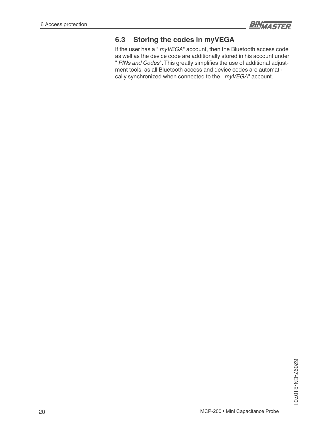![](_page_19_Picture_1.jpeg)

# **6.3 Storing the codes in myVEGA**

If the user has a " *myVEGA*" account, then the Bluetooth access code as well as the device code are additionally stored in his account under " PINs and Codes". This greatly simplifies the use of additional adjustment tools, as all Bluetooth access and device codes are automatically synchronized when connected to the " *myVEGA*" account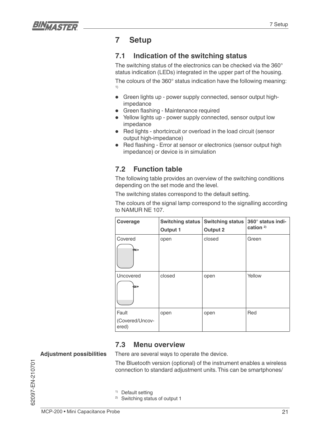![](_page_20_Picture_0.jpeg)

# **7 Setup**

# **7.1 Indication of the switching status**

The switching status of the electronics can be checked via the 360° status indication (LEDs) integrated in the upper part of the housing.

The colours of the 360° status indication have the following meaning: 1)

- Green lights up power supply connected, sensor output highimpedance
- Green flashing Maintenance required
- Yellow lights up power supply connected, sensor output low impedance
- Red lights shortcircuit or overload in the load circuit (sensor output high-impedance)
- Red flashing Error at sensor or electronics (sensor output high impedance) or device is in simulation

# **7.2 Function table**

The following table provides an overview of the switching conditions depending on the set mode and the level.

The switching states correspond to the default setting.

The colours of the signal lamp correspond to the signalling according to NAMUR NE 107.

| Coverage                          | <b>Switching status</b><br>Output 1 | <b>Switching status</b><br><b>Output 2</b> | 360° status indi-<br>cation $2$ |
|-----------------------------------|-------------------------------------|--------------------------------------------|---------------------------------|
| Covered<br>o⊞⊅                    | open                                | closed                                     | Green                           |
| Uncovered<br>ŒШ                   | closed                              | open                                       | Yellow                          |
| Fault<br>(Covered/Uncov-<br>ered) | open                                | open                                       | Red                             |

### **7.3 Menu overview**

#### **Adjustment possibilities**

There are several ways to operate the device.

The Bluetooth version (optional) of the instrument enables a wireless connection to standard adjustment units. This can be smartphones/

1) Default setting

2) Switching status of output 1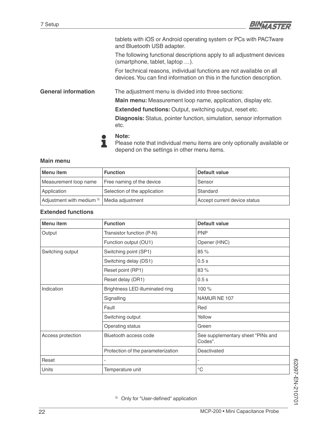![](_page_21_Picture_1.jpeg)

|                            | tablets with iOS or Android operating system or PCs with PACTware<br>and Bluetooth USB adapter.                                                |
|----------------------------|------------------------------------------------------------------------------------------------------------------------------------------------|
|                            | The following functional descriptions apply to all adjustment devices<br>(smartphone, tablet, laptop ).                                        |
|                            | For technical reasons, individual functions are not available on all<br>devices. You can find information on this in the function description. |
| <b>General information</b> | The adjustment menu is divided into three sections:                                                                                            |
|                            | Main menu: Measurement loop name, application, display etc.                                                                                    |
|                            | <b>Extended functions: Output, switching output, reset etc.</b>                                                                                |
|                            | <b>Diagnosis:</b> Status, pointer function, simulation, sensor information<br>etc.                                                             |
|                            | Note:<br>Please note that individual menu items are only optionally available of                                                               |

Please note that individual menu items are only optionally available or depend on the settings in other menu items.

#### **Main menu**

| Menu item                            | <b>Function</b>              | Default value                |
|--------------------------------------|------------------------------|------------------------------|
| Measurement loop name                | Free naming of the device    | Sensor                       |
| Application                          | Selection of the application | Standard                     |
| Adjustment with medium <sup>3)</sup> | Media adjustment             | Accept current device status |

#### **Extended functions**

| Menu item         | <b>Function</b>                    | <b>Default value</b>                         |
|-------------------|------------------------------------|----------------------------------------------|
| Output            | Transistor function (P-N)          | <b>PNP</b>                                   |
|                   | Function output (OU1)              | Opener (HNC)                                 |
| Switching output  | Switching point (SP1)              | 85 %                                         |
|                   | Switching delay (DS1)              | 0.5s                                         |
|                   | Reset point (RP1)                  | 83%                                          |
|                   | Reset delay (DR1)                  | 0.5s                                         |
| Indication        | Brightness LED illuminated ring    | 100 %                                        |
|                   | Signalling                         | NAMUR NE 107                                 |
|                   | Fault                              | Red                                          |
|                   | Switching output                   | Yellow                                       |
|                   | Operating status                   | Green                                        |
| Access protection | Bluetooth access code              | See supplementary sheet "PINs and<br>Codes". |
|                   | Protection of the parameterization | Deactivated                                  |
| Reset             | $\qquad \qquad -$                  | $\overline{\phantom{0}}$                     |
| <b>Units</b>      | Temperature unit                   | $^{\circ}C$                                  |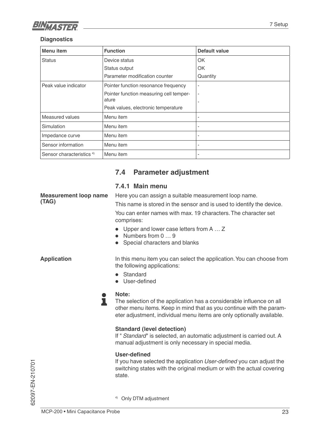![](_page_22_Picture_0.jpeg)

#### **Diagnostics**

| Menu item                            | <b>Function</b>                         | Default value            |
|--------------------------------------|-----------------------------------------|--------------------------|
| <b>Status</b>                        | Device status                           | OK                       |
|                                      | Status output                           | OK                       |
|                                      | Parameter modification counter          | Quantity                 |
| Peak value indicator                 | Pointer function resonance frequency    | $\overline{\phantom{a}}$ |
|                                      | Pointer function measuring cell temper- | $\overline{\phantom{a}}$ |
|                                      | ature                                   |                          |
|                                      | Peak values, electronic temperature     |                          |
| Measured values                      | Menu item                               |                          |
| Simulation                           | Menu item                               |                          |
| Impedance curve                      | Menu item                               |                          |
| Sensor information                   | Menu item                               |                          |
| Sensor characteristics <sup>4)</sup> | Menu item                               | $\overline{\phantom{a}}$ |

# **7.4 Parameter adjustment**

#### **7.4.1 Main menu**

**Measurement loop name (TAG)**

Here you can assign a suitable measurement loop name.

This name is stored in the sensor and is used to identify the device.

You can enter names with max. 19 characters. The character set comprises:

- Upper and lower case letters from A … Z
- Numbers from 0 ... 9
- Special characters and blanks

**Application**

In this menu item you can select the application. You can choose from the following applications:

- Standard
- User-defined

#### **Note:**

L

The selection of the application has a considerable influence on all other menu items. Keep in mind that as you continue with the parameter adjustment, individual menu items are only optionally available.

#### **Standard (level detection)**

If " *Standard*" is selected, an automatic adjustment is carried out. A manual adjustment is only necessary in special media.

#### User-defined

If you have selected the application *User-defined* you can adjust the switching states with the original medium or with the actual covering state.

62097-EN-210701 62097-EN-210701

4) Only DTM adjustment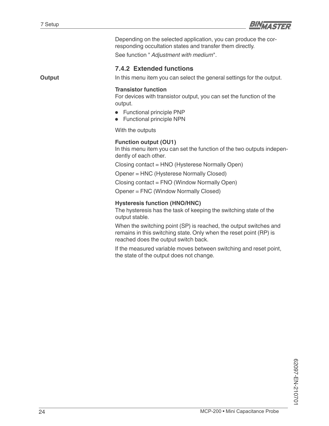![](_page_23_Picture_1.jpeg)

Depending on the selected application, you can produce the corresponding occultation states and transfer them directly.

See function " *Adjustment with medium*".

#### **7.4.2 Extended functions**

**Output**

In this menu item you can select the general settings for the output.

#### **Transistor function**

For devices with transistor output, you can set the function of the output.

- Functional principle PNP
- Functional principle NPN

With the outputs

#### **Function output (OU1)**

In this menu item you can set the function of the two outputs independently of each other.

Closing contact = HNO (Hysterese Normally Open)

Opener = HNC (Hysterese Normally Closed)

Closing contact = FNO (Window Normally Open)

Opener = FNC (Window Normally Closed)

#### **Hysteresis function (HNO/HNC)**

The hysteresis has the task of keeping the switching state of the output stable.

When the switching point (SP) is reached, the output switches and remains in this switching state. Only when the reset point (RP) is reached does the output switch back.

If the measured variable moves between switching and reset point, the state of the output does not change.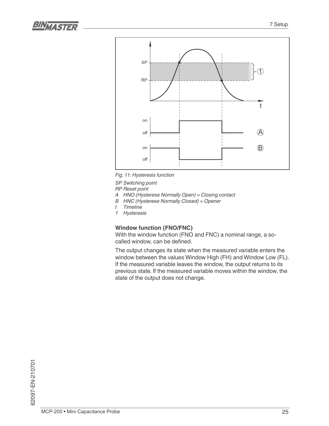![](_page_24_Picture_1.jpeg)

![](_page_24_Figure_2.jpeg)

*Fig. 11: Hysteresis function*

*SP Switching point*

*RP Reset point*

- *A HNO (Hysterese Normally Open) = Closing contact*
- *B HNC (Hysterese Normally Closed) = Opener*
- *t Timeline*
- *1 Hysteresis*

#### **Window function (FNO/FNC)**

With the window function (FNO and FNC) a nominal range, a so called window, can be defined.

The output changes its state when the measured variable enters the window between the values Window High (FH) and Window Low (FL). If the measured variable leaves the window, the output returns to its previous state. If the measured variable moves within the window, the state of the output does not change.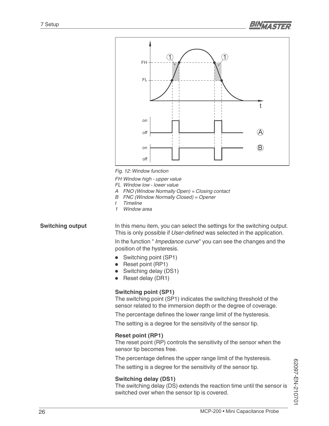![](_page_25_Figure_2.jpeg)

*Fig. 12: Window function*

*FH Window high - upper value*

- *FL Window low lower value*
- *A FNO (Window Normally Open) = Closing contact*
- *B FNC (Window Normally Closed) = Opener*
- *t Timeline*
- *1 Window area*

#### **Switching output**

In this menu item, you can select the settings for the switching output. This is only possible if *User-defined* was selected in the application.

In the function " *Impedance curve*" you can see the changes and the position of the hysteresis.

- Switching point (SP1)
- Reset point (RP1)
- Switching delay (DS1)
- Reset delay (DR1)

#### **Switching point (SP1)**

The switching point (SP1) indicates the switching threshold of the sensor related to the immersion depth or the degree of coverage.

The percentage defines the lower range limit of the hysteresis.

The setting is a degree for the sensitivity of the sensor tip.

#### **Reset point (RP1)**

The reset point (RP) controls the sensitivity of the sensor when the sensor tip becomes free.

The percentage defines the upper range limit of the hysteresis.

The setting is a degree for the sensitivity of the sensor tip.

#### **Switching delay (DS1)**

The switching delay (DS) extends the reaction time until the sensor is switched over when the sensor tip is covered.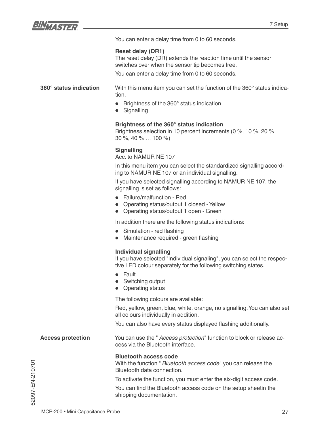![](_page_26_Picture_0.jpeg)

You can enter a delay time from 0 to 60 seconds.

#### **Reset delay (DR1)**

The reset delay (DR) extends the reaction time until the sensor switches over when the sensor tip becomes free.

You can enter a delay time from 0 to 60 seconds.

#### **360° status indication**

With this menu item you can set the function of the 360° status indication.

- Brightness of the 360° status indication
- Signalling

#### **Brightness of the 360° status indication**

Brightness selection in 10 percent increments (0 %, 10 %, 20 % 30 %, 40 % … 100 %)

#### **Signalling**

Acc. to NAMUR NE 107

In this menu item you can select the standardized signalling according to NAMUR NE 107 or an individual signalling.

If you have selected signalling according to NAMUR NE 107, the signalling is set as follows:

- Failure/malfunction Red
- Operating status/output 1 closed Yellow
- Operating status/output 1 open Green

In addition there are the following status indications:

- Simulation red flashing
- Maintenance required green flashing

#### **Individual signalling**

If you have selected "Individual signaling", you can select the respective LED colour separately for the following switching states.

- Fault
- Switching output
- Operating status

The following colours are available:

Red, yellow, green, blue, white, orange, no signalling. You can also set all colours individually in addition.

You can also have every status displayed flashing additionally.

You can use the " *Access protection*" function to block or release access via the Bluetooth interface. **Access protection**

#### **Bluetooth access code**

With the function " *Bluetooth access code*" you can release the Bluetooth data connection.

To activate the function, you must enter the six-digit access code.

You can find the Bluetooth access code on the setup sheetin the shipping documentation.

52097-EN-210701 62097-EN-210701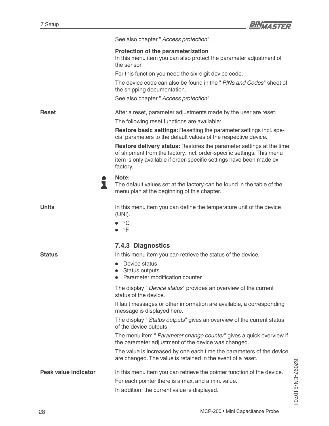![](_page_27_Picture_1.jpeg)

|                      | See also chapter " Access protection".                                                                                                                                                                                                   |
|----------------------|------------------------------------------------------------------------------------------------------------------------------------------------------------------------------------------------------------------------------------------|
|                      | Protection of the parameterization<br>In this menu item you can also protect the parameter adjustment of<br>the sensor.                                                                                                                  |
|                      | For this function you need the six-digit device code.                                                                                                                                                                                    |
|                      | The device code can also be found in the " PINs and Codes" sheet of<br>the shipping documentation.                                                                                                                                       |
|                      | See also chapter " Access protection".                                                                                                                                                                                                   |
| <b>Reset</b>         | After a reset, parameter adjustments made by the user are reset.                                                                                                                                                                         |
|                      | The following reset functions are available:                                                                                                                                                                                             |
|                      | Restore basic settings: Resetting the parameter settings incl. spe-<br>cial parameters to the default values of the respective device.                                                                                                   |
|                      | <b>Restore delivery status:</b> Restores the parameter settings at the time<br>of shipment from the factory, incl. order-specific settings. This menu<br>item is only available if order-specific settings have been made ex<br>factory. |
| ı                    | Note:<br>The default values set at the factory can be found in the table of the<br>menu plan at the beginning of this chapter.                                                                                                           |
| <b>Units</b>         | In this menu item you can define the temperature unit of the device<br>(UNI).                                                                                                                                                            |
|                      | $\bullet \quad ^{\circ}\mathbb{C}$<br>$\bullet$ $\circ$ F                                                                                                                                                                                |
|                      | <b>7.4.3 Diagnostics</b>                                                                                                                                                                                                                 |
| <b>Status</b>        | In this menu item you can retrieve the status of the device.                                                                                                                                                                             |
|                      | Device status                                                                                                                                                                                                                            |
|                      | Status outputs<br>$\bullet$<br>Parameter modification counter                                                                                                                                                                            |
|                      | The display " Device status" provides an overview of the current<br>status of the device.                                                                                                                                                |
|                      | If fault messages or other information are available, a corresponding<br>message is displayed here.                                                                                                                                      |
|                      | The display " Status outputs" gives an overview of the current status<br>of the device outputs.                                                                                                                                          |
|                      | The menu item " Parameter change counter" gives a quick overview if<br>the parameter adjustment of the device was changed.                                                                                                               |
|                      | The value is increased by one each time the parameters of the device<br>are changed. The value is retained in the event of a reset.                                                                                                      |
| Peak value indicator | In this menu item you can retrieve the pointer function of the device.                                                                                                                                                                   |
|                      | For each pointer there is a max. and a min. value.                                                                                                                                                                                       |
|                      | In addition, the current value is displayed.                                                                                                                                                                                             |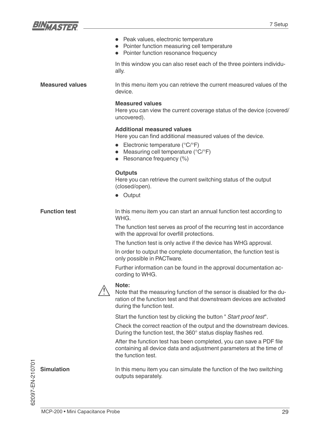![](_page_28_Picture_0.jpeg)

|                        | • Peak values, electronic temperature<br>Pointer function measuring cell temperature<br>Pointer function resonance frequency                                                                                                         |
|------------------------|--------------------------------------------------------------------------------------------------------------------------------------------------------------------------------------------------------------------------------------|
|                        | In this window you can also reset each of the three pointers individu-<br>ally.                                                                                                                                                      |
| <b>Measured values</b> | In this menu item you can retrieve the current measured values of the<br>device.                                                                                                                                                     |
|                        | <b>Measured values</b><br>Here you can view the current coverage status of the device (covered/<br>uncovered).                                                                                                                       |
|                        | <b>Additional measured values</b><br>Here you can find additional measured values of the device.<br>• Electronic temperature ( $^{\circ}C/^{\circ}F$ )<br>Measuring cell temperature (°C/°F)<br>$\bullet$<br>Resonance frequency (%) |
|                        | <b>Outputs</b><br>Here you can retrieve the current switching status of the output<br>(closed/open).<br>• Output                                                                                                                     |
| <b>Function test</b>   | In this menu item you can start an annual function test according to<br>WHG.                                                                                                                                                         |
|                        | The function test serves as proof of the recurring test in accordance<br>with the approval for overfill protections.                                                                                                                 |
|                        | The function test is only active if the device has WHG approval.                                                                                                                                                                     |
|                        | In order to output the complete documentation, the function test is<br>only possible in PACTware.                                                                                                                                    |
|                        | Further information can be found in the approval documentation ac-<br>cording to WHG.                                                                                                                                                |
|                        | Note:<br>Note that the measuring function of the sensor is disabled for the du-<br>ration of the function test and that downstream devices are activated<br>during the function test.                                                |
|                        | Start the function test by clicking the button "Start proof test".                                                                                                                                                                   |
|                        | Check the correct reaction of the output and the downstream devices.<br>During the function test, the 360° status display flashes red.                                                                                               |
|                        | After the function test has been completed, you can save a PDF file<br>containing all device data and adjustment parameters at the time of<br>the function test.                                                                     |
| <b>Simulation</b>      | In this menu item you can simulate the function of the two switching<br>outputs separately.                                                                                                                                          |

62097-EN-210701 62097-EN-210701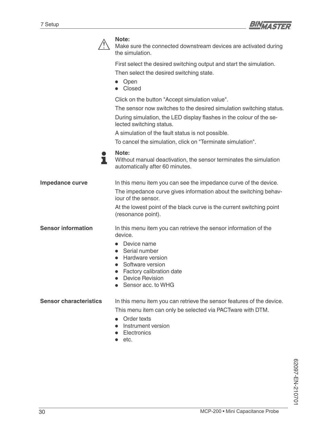![](_page_29_Picture_1.jpeg)

![](_page_29_Picture_2.jpeg)

#### **Note:**

Make sure the connected downstream devices are activated during the simulation.

First select the desired switching output and start the simulation. Then select the desired switching state.

- Open
- Closed

Click on the button "Accept simulation value".

The sensor now switches to the desired simulation switching status.

During simulation, the LED display flashes in the colour of the selected switching status.

A simulation of the fault status is not possible.

To cancel the simulation, click on "Terminate simulation".

**Note:** ı

Without manual deactivation, the sensor terminates the simulation automatically after 60 minutes.

In this menu item you can see the impedance curve of the device. The impedance curve gives information about the switching behaviour of the sensor. At the lowest point of the black curve is the current switching point **Impedance curve**

In this menu item you can retrieve the sensor information of the **Sensor information**

(resonance point).

• Device name

device.

- Serial number
- Hardware version
- Software version
- Factory calibration date
- Device Revision
- Sensor acc. to WHG

In this menu item you can retrieve the sensor features of the device. **Sensor characteristics**

This menu item can only be selected via PACTware with DTM.

- Order texts
- Instrument version
- **Electronics**
- etc.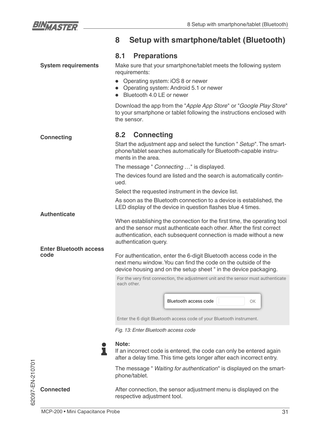![](_page_30_Picture_0.jpeg)

# **8 Setup with smartphone/tablet (Bluetooth)**

### **8.1 Preparations**

**System requirements** Make sure that your smartphone/tablet meets the following system requirements: • Operating system: iOS 8 or newer • Operating system: Android 5.1 or newer • Bluetooth 4.0 LE or newer Download the app from the "*Apple App Store*" or "*Google Play Store*" to your smartphone or tablet following the instructions enclosed with the sensor. **8.2 Connecting Connecting** Start the adjustment app and select the function " *Setup*". The smartphone/tablet searches automatically for Bluetooth-capable instruments in the area. The message " *Connecting …*" is displayed. The devices found are listed and the search is automatically continued. Select the requested instrument in the device list. As soon as the Bluetooth connection to a device is established, the LED display of the device in question flashes blue 4 times. **Authenticate** When establishing the connection for the first time, the operating tool and the sensor must authenticate each other. After the first correct authentication, each subsequent connection is made without a new authentication query. **Enter Bluetooth access code** For authentication, enter the 6-digit Bluetooth access code in the next menu window. You can find the code on the outside of the device housing and on the setup sheet " in the device packaging. For the very first connection, the adjustment unit and the sensor must authenticate each other.

Bluetooth access code OK

Enter the 6 digit Bluetooth access code of your Bluetooth instrument.

*Fig. 13: Enter Bluetooth access code*

![](_page_30_Picture_8.jpeg)

п

If an incorrect code is entered, the code can only be entered again after a delay time. This time gets longer after each incorrect entry.

The message " *Waiting for authentication*" is displayed on the smartphone/tablet.

After connection, the sensor adjustment menu is displayed on the respective adjustment tool.

![](_page_30_Picture_12.jpeg)

**Connected**

MCP-200 • Mini Capacitance Probe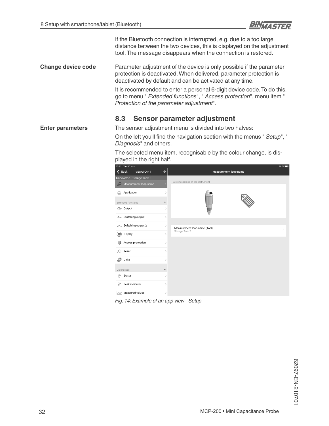![](_page_31_Picture_1.jpeg)

If the Bluetooth connection is interrupted, e.g. due to a too large distance between the two devices, this is displayed on the adjustment tool. The message disappears when the connection is restored.

Parameter adjustment of the device is only possible if the parameter protection is deactivated. When delivered, parameter protection is deactivated by default and can be activated at any time. **Change device code**

> It is recommended to enter a personal 6-digit device code. To do this, go to menu " *Extended functions*", " *Access protection*", menu item " *Protection of the parameter adjustment*".

### **8.3 Sensor parameter adjustment**

The sensor adjustment menu is divided into two halves: **Enter parameters**

> On the left you'll find the navigation section with the menus " Setup", " *Diagnosis*" and others.

The selected menu item, recognisable by the colour change, is displayed in the right half.

![](_page_31_Picture_9.jpeg)

*Fig. 14: Example of an app view - Setup*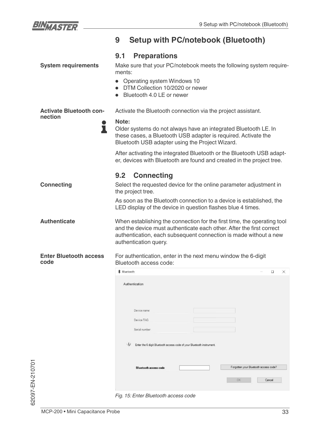![](_page_32_Picture_0.jpeg)

|                                                | <b>Setup with PC/notebook (Bluetooth)</b><br>9                                                                                                                                                                                                                                                                                                                                                                  |  |
|------------------------------------------------|-----------------------------------------------------------------------------------------------------------------------------------------------------------------------------------------------------------------------------------------------------------------------------------------------------------------------------------------------------------------------------------------------------------------|--|
| <b>System requirements</b>                     | <b>Preparations</b><br>9.1<br>Make sure that your PC/notebook meets the following system require-<br>ments:<br>• Operating system Windows 10<br>DTM Collection 10/2020 or newer<br>Bluetooth 4.0 LE or newer                                                                                                                                                                                                    |  |
| <b>Activate Bluetooth con-</b><br>nection<br>ı | Activate the Bluetooth connection via the project assistant.<br>Note:<br>Older systems do not always have an integrated Bluetooth LE. In<br>these cases, a Bluetooth USB adapter is required. Activate the<br>Bluetooth USB adapter using the Project Wizard.<br>After activating the integrated Bluetooth or the Bluetooth USB adapt-<br>er, devices with Bluetooth are found and created in the project tree. |  |
| <b>Connecting</b>                              | <b>Connecting</b><br>9.2<br>Select the requested device for the online parameter adjustment in<br>the project tree.<br>As soon as the Bluetooth connection to a device is established, the<br>LED display of the device in question flashes blue 4 times.                                                                                                                                                       |  |
| <b>Authenticate</b>                            | When establishing the connection for the first time, the operating tool<br>and the device must authenticate each other. After the first correct<br>authentication, each subsequent connection is made without a new<br>authentication query.                                                                                                                                                                    |  |
| <b>Enter Bluetooth access</b><br>code          | For authentication, enter in the next menu window the 6-digit<br>Bluetooth access code:<br><b>*</b> Bluetooth<br>$\Box$<br>$\times$<br>Authentication<br>Device name<br>Device TAG<br>Serial number<br>$\omega$<br>Enter the 6 digit Bluetooth access code of your Bluetooth instrument.<br>Forgotten your Bluetooth access code?<br><b>Bluetooth access code</b><br>OK<br>Cancel                               |  |
|                                                | Fig. 15: Enter Bluetooth access code                                                                                                                                                                                                                                                                                                                                                                            |  |

62097-EN-210701

62097-EN-210701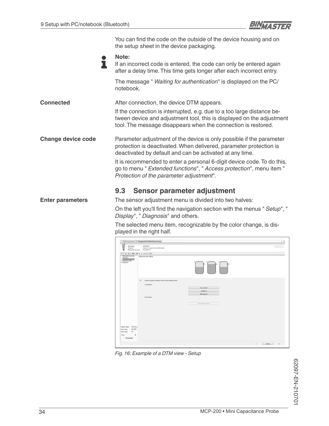![](_page_33_Picture_1.jpeg)

|                           | You can find the code on the outside of the device housing and on<br>the setup sheet in the device packaging.                                                                                                    |  |
|---------------------------|------------------------------------------------------------------------------------------------------------------------------------------------------------------------------------------------------------------|--|
|                           | Note:<br>If an incorrect code is entered, the code can only be entered again<br>after a delay time. This time gets longer after each incorrect entry.                                                            |  |
|                           | The message " Waiting for authentication" is displayed on the PC/<br>notebook.                                                                                                                                   |  |
| <b>Connected</b>          | After connection, the device DTM appears.                                                                                                                                                                        |  |
|                           | If the connection is interrupted, e.g. due to a too large distance be-<br>tween device and adjustment tool, this is displayed on the adjustment<br>tool. The message disappears when the connection is restored. |  |
| <b>Change device code</b> | Parameter adjustment of the device is only possible if the parameter<br>protection is deactivated. When delivered, parameter protection is<br>deactivated by default and can be activated at any time.           |  |
|                           | It is recommended to enter a personal 6-digit device code. To do this,<br>go to menu " Extended functions", " Access protection", menu item "<br>Protection of the parameter adjustment".                        |  |
|                           | Sensor parameter adjustment<br>9.3                                                                                                                                                                               |  |
| <b>Enter parameters</b>   | The sensor adjustment menu is divided into two halves:                                                                                                                                                           |  |
|                           | On the left you'll find the navigation section with the menus " Setup", "<br>Display", " Diagnosis" and others.                                                                                                  |  |
|                           | The selected menu item, recognizable by the color change, is dis-<br>played in the right half.                                                                                                                   |  |

![](_page_33_Picture_3.jpeg)

*Fig. 16: Example of a DTM view - Setup*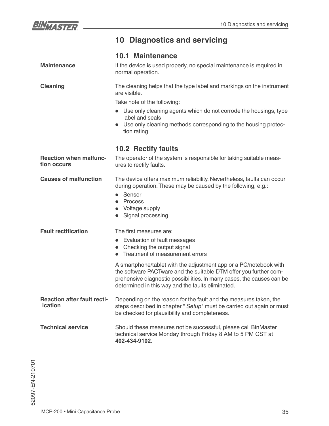![](_page_34_Picture_1.jpeg)

# **10 Diagnostics and servicing**

|                                               | <b>10.1 Maintenance</b>                                                                                                                                                                                                                                              |  |
|-----------------------------------------------|----------------------------------------------------------------------------------------------------------------------------------------------------------------------------------------------------------------------------------------------------------------------|--|
| <b>Maintenance</b>                            | If the device is used properly, no special maintenance is required in<br>normal operation.                                                                                                                                                                           |  |
| <b>Cleaning</b>                               | The cleaning helps that the type label and markings on the instrument<br>are visible.                                                                                                                                                                                |  |
|                                               | Take note of the following:                                                                                                                                                                                                                                          |  |
|                                               | • Use only cleaning agents which do not corrode the housings, type<br>label and seals                                                                                                                                                                                |  |
|                                               | Use only cleaning methods corresponding to the housing protec-<br>tion rating                                                                                                                                                                                        |  |
|                                               | <b>10.2 Rectify faults</b>                                                                                                                                                                                                                                           |  |
| <b>Reaction when malfunc-</b><br>tion occurs  | The operator of the system is responsible for taking suitable meas-<br>ures to rectify faults.                                                                                                                                                                       |  |
| <b>Causes of malfunction</b>                  | The device offers maximum reliability. Nevertheless, faults can occur<br>during operation. These may be caused by the following, e.g.:                                                                                                                               |  |
|                                               | Sensor<br>$\bullet$<br>Process                                                                                                                                                                                                                                       |  |
|                                               | Voltage supply<br>Signal processing<br>$\bullet$                                                                                                                                                                                                                     |  |
| <b>Fault rectification</b>                    | The first measures are:                                                                                                                                                                                                                                              |  |
|                                               | • Evaluation of fault messages                                                                                                                                                                                                                                       |  |
|                                               | Checking the output signal                                                                                                                                                                                                                                           |  |
|                                               | Treatment of measurement errors<br>$\bullet$                                                                                                                                                                                                                         |  |
|                                               | A smartphone/tablet with the adjustment app or a PC/notebook with<br>the software PACTware and the suitable DTM offer you further com-<br>prehensive diagnostic possibilities. In many cases, the causes can be<br>determined in this way and the faults eliminated. |  |
| <b>Reaction after fault recti-</b><br>ication | Depending on the reason for the fault and the measures taken, the<br>steps described in chapter " Setup" must be carried out again or must<br>be checked for plausibility and completeness.                                                                          |  |
| <b>Technical service</b>                      | Should these measures not be successful, please call BinMaster<br>technical service Monday through Friday 8 AM to 5 PM CST at<br>402-434-9102.                                                                                                                       |  |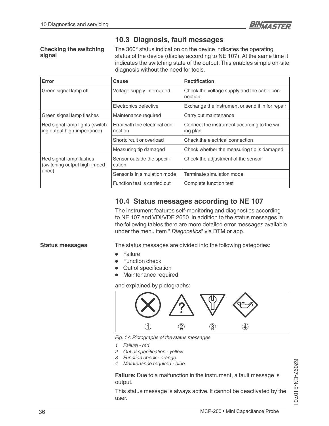![](_page_35_Picture_1.jpeg)

#### **Checking the switching signal**

**10.3 Diagnosis, fault messages**

The 360° status indication on the device indicates the operating status of the device (display according to NE 107). At the same time it indicates the switching state of the output. This enables simple on-site diagnosis without the need for tools.

| Error                                                         | Cause                                     | <b>Rectification</b>                                     |
|---------------------------------------------------------------|-------------------------------------------|----------------------------------------------------------|
| Green signal lamp off                                         | Voltage supply interrupted.               | Check the voltage supply and the cable con-<br>nection   |
|                                                               | Electronics defective                     | Exchange the instrument or send it in for repair         |
| Green signal lamp flashes                                     | Maintenance required                      | Carry out maintenance                                    |
| Red signal lamp lights (switch-<br>ing output high-impedance) | Error with the electrical con-<br>nection | Connect the instrument according to the wir-<br>ing plan |
|                                                               | Shortcircuit or overload                  | Check the electrical connection                          |
|                                                               | Measuring tip damaged                     | Check whether the measuring tip is damaged               |
| Red signal lamp flashes<br>(switching output high-imped-      | Sensor outside the specifi-<br>cation     | Check the adjustment of the sensor                       |
| ance)                                                         | Sensor is in simulation mode              | Terminate simulation mode                                |
|                                                               | Function test is carried out              | Complete function test                                   |

### **10.4 Status messages according to NE 107**

The instrument features self-monitoring and diagnostics according to NE 107 and VDI/VDE 2650. In addition to the status messages in the following tables there are more detailed error messages available under the menu item " *Diagnostics*" via DTM or app.

#### **Status messages**

The status messages are divided into the following categories:

- **Failure**
- **Function check**
- Out of specification
- Maintenance required

and explained by pictographs:

![](_page_35_Figure_15.jpeg)

*Fig. 17: Pictographs of the status messages*

- *1 Failure red*
- **2** Out of specification yellow
- *3 Function check orange*
- *4 Maintenance required blue*

**Failure:** Due to a malfunction in the instrument, a fault message is output.

This status message is always active. It cannot be deactivated by the user.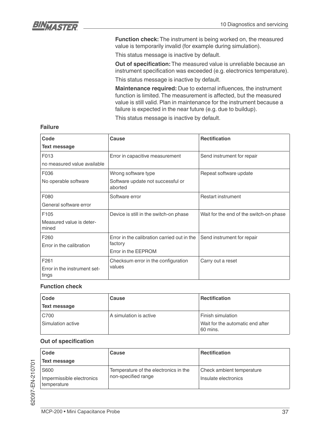![](_page_36_Picture_0.jpeg)

**Function check:** The instrument is being worked on, the measured value is temporarily invalid (for example during simulation).

This status message is inactive by default.

**Out of specification:** The measured value is unreliable because an instrument specification was exceeded (e.g. electronics temperature).

This status message is inactive by default.

**Maintenance required:** Due to external influences, the instrument function is limited. The measurement is affected, but the measured value is still valid. Plan in maintenance for the instrument because a failure is expected in the near future (e.g. due to buildup).

This status message is inactive by default.

| Code                                  | Cause                                        | <b>Rectification</b>                    |
|---------------------------------------|----------------------------------------------|-----------------------------------------|
| <b>Text message</b>                   |                                              |                                         |
| F013                                  | Error in capacitive measurement              | Send instrument for repair              |
| no measured value available           |                                              |                                         |
| F036                                  | Wrong software type                          | Repeat software update                  |
| No operable software                  | Software update not successful or<br>aborted |                                         |
| F080                                  | Software error                               | <b>Restart instrument</b>               |
| General software error                |                                              |                                         |
| F <sub>105</sub>                      | Device is still in the switch-on phase       | Wait for the end of the switch-on phase |
| Measured value is deter-<br>mined     |                                              |                                         |
| F <sub>260</sub>                      | Error in the calibration carried out in the  | Send instrument for repair              |
| Error in the calibration              | factory                                      |                                         |
|                                       | Error in the EEPROM                          |                                         |
| F <sub>261</sub>                      | Checksum error in the configuration          | Carry out a reset                       |
| Error in the instrument set-<br>tings | values                                       |                                         |

#### **Failure**

#### **Function check**

| Code                     | Cause                  | <b>Rectification</b>                         |
|--------------------------|------------------------|----------------------------------------------|
| <b>Text message</b>      |                        |                                              |
| C700                     | A simulation is active | <b>Finish simulation</b>                     |
| <b>Simulation active</b> |                        | Wait for the automatic end after<br>60 mins. |

#### **Out of specification**

| Code                                     | Cause                                 | <b>Rectification</b>      |
|------------------------------------------|---------------------------------------|---------------------------|
| Text message                             |                                       |                           |
| S600                                     | Temperature of the electronics in the | Check ambient temperature |
| Impermissible electronics<br>temperature | non-specified range                   | Insulate electronics      |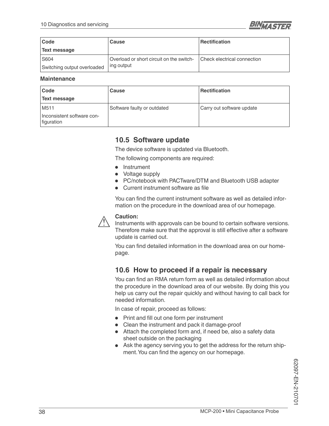![](_page_37_Picture_1.jpeg)

| Code                        | Cause                                    | Rectification               |
|-----------------------------|------------------------------------------|-----------------------------|
| Text message                |                                          |                             |
| S604                        | Overload or short circuit on the switch- | Check electrical connection |
| Switching output overloaded | ing output                               |                             |

#### **Maintenance**

| Code                                     | Cause                       | <b>Rectification</b>      |
|------------------------------------------|-----------------------------|---------------------------|
| Text message                             |                             |                           |
| M <sub>5</sub> 11                        | Software faulty or outdated | Carry out software update |
| Inconsistent software con-<br>figuration |                             |                           |

### **10.5 Software update**

The device software is updated via Bluetooth.

The following components are required:

- Instrument
- Voltage supply
- PC/notebook with PACTware/DTM and Bluetooth USB adapter
- Current instrument software as file

You can find the current instrument software as well as detailed information on the procedure in the download area of our homepage.

![](_page_37_Picture_13.jpeg)

Instruments with approvals can be bound to certain software versions. Therefore make sure that the approval is still effective after a software update is carried out.

You can find detailed information in the download area on our homepage.

### **10.6 How to proceed if a repair is necessary**

You can find an RMA return form as well as detailed information about the procedure in the download area of our website. By doing this you help us carry out the repair quickly and without having to call back for needed information.

In case of repair, proceed as follows:

- $\bullet$  Print and fill out one form per instrument
- Clean the instrument and pack it damage-proof
- Attach the completed form and, if need be, also a safety data sheet outside on the packaging
- Ask the agency serving you to get the address for the return shipment. You can find the agency on our homepage.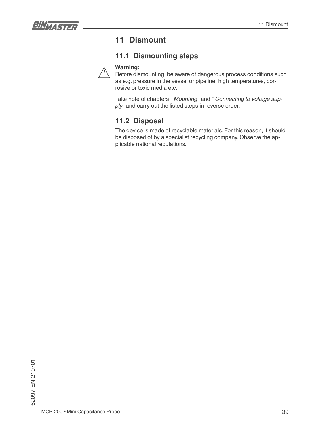![](_page_38_Picture_1.jpeg)

# **11 Dismount**

### **11.1 Dismounting steps**

![](_page_38_Picture_4.jpeg)

Before dismounting, be aware of dangerous process conditions such as e.g. pressure in the vessel or pipeline, high temperatures, corrosive or toxic media etc.

Take note of chapters " *Mounting*" and " *Connecting to voltage sup*ply" and carry out the listed steps in reverse order.

### **11.2 Disposal**

The device is made of recyclable materials. For this reason, it should be disposed of by a specialist recycling company. Observe the applicable national regulations.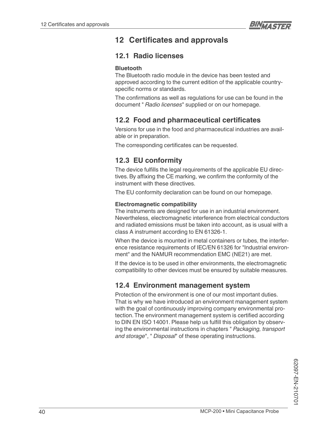# **12 Certificates and approvals**

# **12.1 Radio licenses**

#### **Bluetooth**

The Bluetooth radio module in the device has been tested and approved according to the current edition of the applicable countryspecific norms or standards.

The confirmations as well as regulations for use can be found in the document " *Radio licenses*" supplied or on our homepage.

# **12.2 Food and pharmaceutical certificates**

Versions for use in the food and pharmaceutical industries are available or in preparation.

The corresponding certificates can be requested.

# **12.3 EU conformity**

The device fulfills the legal requirements of the applicable EU directives. By affixing the CE marking, we confirm the conformity of the instrument with these directives.

The EU conformity declaration can be found on our homepage.

#### **Electromagnetic compatibility**

The instruments are designed for use in an industrial environment. Nevertheless, electromagnetic interference from electrical conductors and radiated emissions must be taken into account, as is usual with a class A instrument according to EN 61326-1.

When the device is mounted in metal containers or tubes, the interference resistance requirements of IEC/EN 61326 for "Industrial environment" and the NAMUR recommendation EMC (NE21) are met.

If the device is to be used in other environments, the electromagnetic compatibility to other devices must be ensured by suitable measures.

### **12.4 Environment management system**

Protection of the environment is one of our most important duties. That is why we have introduced an environment management system with the goal of continuously improving company environmental protection. The environment management system is certified according to DIN EN ISO 14001. Please help us fulfill this obligation by observing the environmental instructions in chapters " *Packaging, transport and storage*", " *Disposal*" of these operating instructions.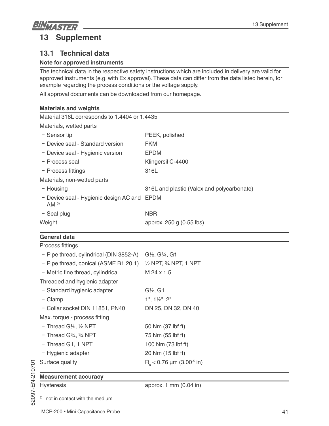# **BINNASTER 13 Supplement**

# **13.1 Technical data**

### **Note for approved instruments**

The technical data in the respective safety instructions which are included in delivery are valid for approved instruments (e.g. with Ex approval). These data can differ from the data listed herein, for example regarding the process conditions or the voltage supply.

All approval documents can be downloaded from our homepage.

| <b>Materials and weights</b>                              |                                            |  |
|-----------------------------------------------------------|--------------------------------------------|--|
| Material 316L corresponds to 1.4404 or 1.4435             |                                            |  |
| Materials, wetted parts                                   |                                            |  |
| - Sensor tip                                              | PEEK, polished                             |  |
| - Device seal - Standard version                          | <b>FKM</b>                                 |  |
| - Device seal - Hygienic version                          | <b>EPDM</b>                                |  |
| - Process seal                                            | Klingersil C-4400                          |  |
| - Process fittings                                        | 316L                                       |  |
| Materials, non-wetted parts                               |                                            |  |
| $-$ Housing                                               | 316L and plastic (Valox and polycarbonate) |  |
| - Device seal - Hygienic design AC and<br>AM <sup>5</sup> | <b>EPDM</b>                                |  |
| $-$ Seal plug                                             | <b>NBR</b>                                 |  |
| Weight                                                    | approx. 250 g (0.55 lbs)                   |  |

### **General data**

| Process fittings                               |                                             |
|------------------------------------------------|---------------------------------------------|
| - Pipe thread, cylindrical (DIN 3852-A)        | $G\frac{1}{2}$ , $G\frac{3}{4}$ , $G1$      |
| - Pipe thread, conical (ASME B1.20.1)          | $\frac{1}{2}$ NPT, $\frac{3}{4}$ NPT, 1 NPT |
| - Metric fine thread, cylindrical              | M 24 x 1.5                                  |
| Threaded and hygienic adapter                  |                                             |
| - Standard hygienic adapter                    | $G\frac{1}{2}$ , G1                         |
| $-$ Clamp                                      | $1", 1\frac{1}{2", 2"$                      |
| - Collar socket DIN 11851, PN40                | DN 25, DN 32, DN 40                         |
| Max. torque - process fitting                  |                                             |
| $-$ Thread G $\frac{1}{2}$ , $\frac{1}{2}$ NPT | 50 Nm (37 lbf ft)                           |
| $-$ Thread G $\frac{3}{4}$ , $\frac{3}{4}$ NPT | 75 Nm (55 lbf ft)                           |
| - Thread G1, 1 NPT                             | 100 Nm (73 lbf ft)                          |
| - Hygienic adapter                             | 20 Nm (15 lbf ft)                           |
| Surface quality                                | $R_s$ < 0.76 µm (3.00 <sup>-5</sup> in)     |
| <b>Measurement accuracy</b>                    |                                             |
| <b>Hysteresis</b>                              | approx. 1 mm (0.04 in)                      |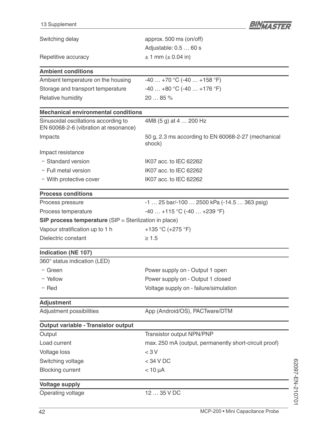| 13 Supplement                                                                 | BINTASTER                                                     |
|-------------------------------------------------------------------------------|---------------------------------------------------------------|
| Switching delay                                                               | approx. 500 ms (on/off)                                       |
|                                                                               | Adjustable: 0.5  60 s                                         |
| Repetitive accuracy                                                           | $\pm$ 1 mm ( $\pm$ 0.04 in)                                   |
| <b>Ambient conditions</b>                                                     |                                                               |
| Ambient temperature on the housing                                            | $-40+70$ °C ( $-40+158$ °F)                                   |
| Storage and transport temperature                                             | $-40+80$ °C (-40  +176 °F)                                    |
| Relative humidity                                                             | 20  85 %                                                      |
| <b>Mechanical environmental conditions</b>                                    |                                                               |
| Sinusoidal oscillations according to<br>EN 60068-2-6 (vibration at resonance) | 4M8 (5 g) at 4  200 Hz                                        |
| Impacts                                                                       | 50 g, 2.3 ms according to EN 60068-2-27 (mechanical<br>shock) |
| Impact resistance                                                             |                                                               |
| - Standard version                                                            | IK07 acc. to IEC 62262                                        |
| $-$ Full metal version                                                        | IK07 acc. to IEC 62262                                        |
| - With protective cover                                                       | IK07 acc. to IEC 62262                                        |
| <b>Process conditions</b>                                                     |                                                               |
| Process pressure                                                              | -1  25 bar/-100  2500 kPa (-14.5  363 psig)                   |
| Process temperature                                                           | $-40+115$ °C (-40  +239 °F)                                   |
| <b>SIP process temperature</b> (SIP = Sterilization in place)                 |                                                               |
| Vapour stratification up to 1 h                                               | +135 °C (+275 °F)                                             |
| Dielectric constant                                                           | $\geq 1.5$                                                    |
| <b>Indication (NE 107)</b>                                                    |                                                               |
| 360° status indication (LED)                                                  |                                                               |
| $-$ Green                                                                     | Power supply on - Output 1 open                               |
| - Yellow                                                                      | Power supply on - Output 1 closed                             |
| $-$ Red                                                                       | Voltage supply on - failure/simulation                        |
| <b>Adjustment</b>                                                             |                                                               |
| Adjustment possibilities                                                      | App (Android/OS), PACTware/DTM                                |
| <b>Output variable - Transistor output</b>                                    |                                                               |
| Output                                                                        | Transistor output NPN/PNP                                     |
| Load current                                                                  | max. 250 mA (output, permanently short-circuit proof)         |
| <b>Voltage loss</b>                                                           | < 3V                                                          |
| Switching voltage                                                             | < 34 V DC                                                     |
| <b>Blocking current</b>                                                       | $< 10 \mu A$                                                  |
| <b>Voltage supply</b>                                                         |                                                               |
| Operating voltage                                                             | 12  35 V DC                                                   |

62097-EN-210701

62097-EN-210701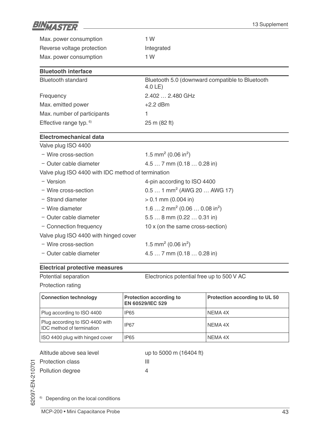![](_page_42_Picture_0.jpeg)

| Max. power consumption                             | 1 W                                                          |  |
|----------------------------------------------------|--------------------------------------------------------------|--|
| Reverse voltage protection                         | Integrated                                                   |  |
| Max. power consumption                             | 1 W                                                          |  |
| <b>Bluetooth interface</b>                         |                                                              |  |
| <b>Bluetooth standard</b>                          | Bluetooth 5.0 (downward compatible to Bluetooth<br>$4.0LE$ ) |  |
| Frequency                                          | 2.402  2.480 GHz                                             |  |
| Max. emitted power                                 | $+2.2$ dBm                                                   |  |
| Max. number of participants                        | 1                                                            |  |
| Effective range typ. <sup>6)</sup>                 | 25 m (82 ft)                                                 |  |
| Electromechanical data                             |                                                              |  |
| Valve plug ISO 4400                                |                                                              |  |
| - Wire cross-section                               | 1.5 mm <sup>2</sup> (0.06 in <sup>2</sup> )                  |  |
| - Outer cable diameter                             | $4.57$ mm $(0.180.28)$ in                                    |  |
| Valve plug ISO 4400 with IDC method of termination |                                                              |  |
| - Version                                          | 4-pin according to ISO 4400                                  |  |
| - Wire cross-section                               | $0.51$ mm <sup>2</sup> (AWG 20  AWG 17)                      |  |
| - Strand diameter                                  | $> 0.1$ mm (0.004 in)                                        |  |
| - Wire diameter                                    | 1.6  2 mm <sup>2</sup> (0.06  0.08 in <sup>2</sup> )         |  |
| - Outer cable diameter                             | $5.58$ mm $(0.220.31)$ in                                    |  |
| - Connection frequency                             | 10 x (on the same cross-section)                             |  |
| Valve plug ISO 4400 with hinged cover              |                                                              |  |
| - Wire cross-section                               | 1.5 mm <sup>2</sup> (0.06 in <sup>2</sup> )                  |  |
| - Outer cable diameter                             | 4.5  7 mm (0.18  0.28 in)                                    |  |
| <b>Electrical protective measures</b>              |                                                              |  |

| Potential separation         |                                                    | Electronics potential free up to 500 V AC |  |
|------------------------------|----------------------------------------------------|-------------------------------------------|--|
| Protection rating            |                                                    |                                           |  |
| <b>Connection technology</b> | <b>Protection according to</b><br>EN COEDO/IEC EDO | <b>Protection according to UL 50</b>      |  |

|                                                                     | <b>EN 60529/IEC 529</b> |           |
|---------------------------------------------------------------------|-------------------------|-----------|
| Plug according to ISO 4400                                          | <b>IP65</b>             | I NEMA 4X |
| Plug according to ISO 4400 with<br><b>IDC</b> method of termination | <b>IP67</b>             | NEMA 4X   |
| ISO 4400 plug with hinged cover                                     | <b>IP65</b>             | NEMA 4X   |

Altitude above sea level up to 5000 m (16404 ft)

Protection class **III** 

Pollution degree 4

62097-EN-210701

<sup>6)</sup> Depending on the local conditions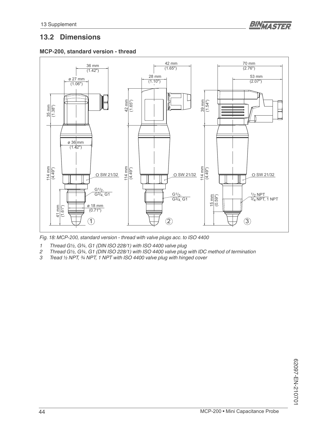![](_page_43_Picture_1.jpeg)

### **13.2 Dimensions**

![](_page_43_Figure_3.jpeg)

![](_page_43_Figure_4.jpeg)

Fig. 18: MCP-200, standard version - thread with valve plugs acc. to ISO 4400

*1 Thread G½, G¾, G1 (DIN ISO 228/1) with ISO 4400 valve plug*

- *2 Thread G½, G¾, G1 (DIN ISO 228/1) with ISO 4400 valve plug with IDC method of termination*
- *3 Tread ½ NPT, ¾ NPT, 1 NPT with ISO 4400 valve plug with hinged cover*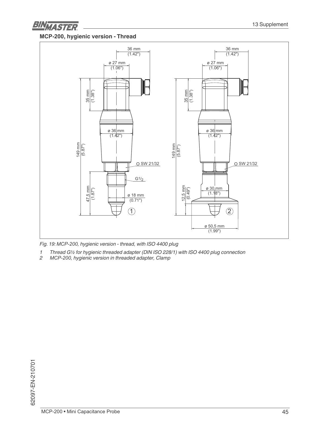![](_page_44_Picture_0.jpeg)

### **0&3, hygienic version - Thread**

![](_page_44_Figure_3.jpeg)

*Fig. 19: 0&3, hygienic version - thread, with ISO 4400 plug* 

- *1 Thread G½ for hygienic threaded adapter (DIN ISO 228/1) with ISO 4400 plug connection*
- *2 0&3, hygienic version in threaded adapter, Clamp*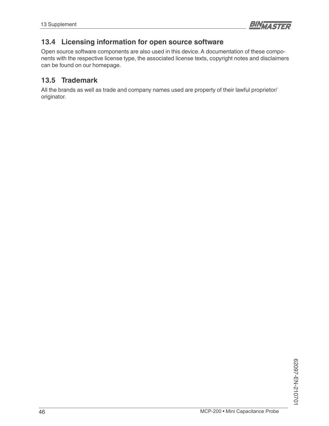![](_page_45_Picture_1.jpeg)

# **13.4 Licensing information for open source software**

Open source software components are also used in this device. A documentation of these components with the respective license type, the associated license texts, copyright notes and disclaimers can be found on our homepage.

### **13.5 Trademark**

All the brands as well as trade and company names used are property of their lawful proprietor/ originator.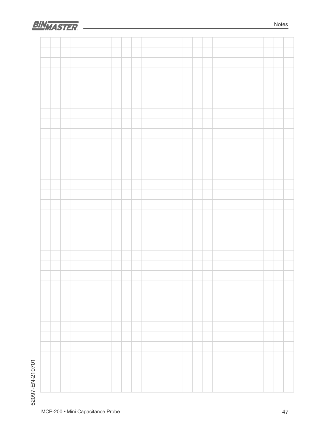![](_page_46_Picture_0.jpeg)

![](_page_46_Figure_1.jpeg)